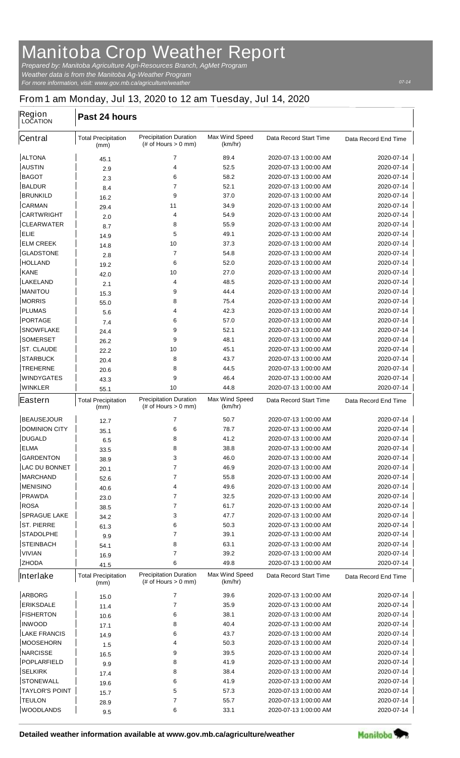## **Manitoba Crop Weather Report**

*For more information, visit: www.gov.mb.ca/agriculture/weather Prepared by: Manitoba Agriculture Agri-Resources Branch, AgMet Program Weather data is from the Manitoba Ag-Weather Program*

## **From 1 am Monday, Jul 13, 2020 to 12 am Tuesday, Jul 14, 2020**

| <b>Region</b><br><b>LOCATION</b>  | Past 24 hours                      |                                                         |                                  |                                                |                             |
|-----------------------------------|------------------------------------|---------------------------------------------------------|----------------------------------|------------------------------------------------|-----------------------------|
| <b>Central</b>                    | <b>Total Precipitation</b><br>(mm) | <b>Precipitation Duration</b><br>$#$ of Hours $> 0$ mm) | <b>Max Wind Speed</b><br>(km/hr) | <b>Data Record Start Time</b>                  | Data Record End Time        |
| <b>ALTONA</b>                     | 45.1                               | $\overline{7}$                                          | 89.4                             | 2020-07-13 1:00:00 AM                          | 2020-07-14                  |
| <b>AUSTIN</b>                     | 2.9                                | 4                                                       | 52.5                             | 2020-07-13 1:00:00 AM                          | 2020-07-14                  |
| <b>BAGOT</b>                      | 2.3                                | 6                                                       | 58.2                             | 2020-07-13 1:00:00 AM                          | 2020-07-14                  |
| <b>BALDUR</b>                     | 8.4                                | 7                                                       | 52.1                             | 2020-07-13 1:00:00 AM                          | 2020-07-14                  |
| <b>BRUNKILD</b>                   | 16.2                               | 9                                                       | 37.0                             | 2020-07-13 1:00:00 AM                          | 2020-07-14                  |
| <b>CARMAN</b>                     | 29.4                               | 11                                                      | 34.9                             | 2020-07-13 1:00:00 AM                          | 2020-07-14                  |
| <b>CARTWRIGHT</b>                 | 2.0                                | 4                                                       | 54.9                             | 2020-07-13 1:00:00 AM                          | 2020-07-14                  |
| <b>CLEARWATER</b>                 | 8.7                                | 8                                                       | 55.9                             | 2020-07-13 1:00:00 AM                          | 2020-07-14                  |
| <b>ELIE</b>                       | 14.9                               | 5                                                       | 49.1                             | 2020-07-13 1:00:00 AM                          | 2020-07-14                  |
| <b>ELM CREEK</b>                  | 14.8                               | 10                                                      | 37.3                             | 2020-07-13 1:00:00 AM                          | 2020-07-14                  |
| <b>GLADSTONE</b>                  | 2.8                                | 7                                                       | 54.8                             | 2020-07-13 1:00:00 AM                          | 2020-07-14                  |
| <b>HOLLAND</b>                    | 19.2                               | 6                                                       | 52.0                             | 2020-07-13 1:00:00 AM                          | 2020-07-14                  |
| <b>KANE</b>                       | 42.0                               | 10                                                      | 27.0                             | 2020-07-13 1:00:00 AM                          | 2020-07-14                  |
| <b>LAKELAND</b>                   | 2.1                                | 4                                                       | 48.5                             | 2020-07-13 1:00:00 AM                          | 2020-07-14                  |
| <b>MANITOU</b>                    | 15.3                               | 9                                                       | 44.4                             | 2020-07-13 1:00:00 AM                          | 2020-07-14                  |
| <b>MORRIS</b>                     | 55.0                               | 8                                                       | 75.4                             | 2020-07-13 1:00:00 AM                          | 2020-07-14                  |
| <b>PLUMAS</b>                     | 5.6                                | 4                                                       | 42.3                             | 2020-07-13 1:00:00 AM                          | 2020-07-14                  |
| <b>PORTAGE</b>                    | 7.4                                | 6                                                       | 57.0                             | 2020-07-13 1:00:00 AM                          | 2020-07-14                  |
| <b>SNOWFLAKE</b>                  | 24.4                               | 9                                                       | 52.1                             | 2020-07-13 1:00:00 AM                          | 2020-07-14                  |
| <b>SOMERSET</b>                   | 26.2                               | 9                                                       | 48.1                             | 2020-07-13 1:00:00 AM                          | 2020-07-14                  |
| <b>ST. CLAUDE</b>                 | 22.2                               | 10                                                      | 45.1                             | 2020-07-13 1:00:00 AM                          | 2020-07-14                  |
| <b>STARBUCK</b>                   | 20.4                               | 8                                                       | 43.7                             | 2020-07-13 1:00:00 AM                          | 2020-07-14                  |
| <b>TREHERNE</b>                   | 20.6                               | 8                                                       | 44.5                             | 2020-07-13 1:00:00 AM                          | 2020-07-14                  |
| <b>WINDYGATES</b>                 | 43.3                               | 9                                                       | 46.4                             | 2020-07-13 1:00:00 AM                          | 2020-07-14                  |
| <b>WINKLER</b>                    | 55.1                               | 10                                                      | 44.8                             | 2020-07-13 1:00:00 AM                          | 2020-07-14                  |
| Eastern                           | <b>Total Precipitation</b><br>(mm) | <b>Precipitation Duration</b><br>$#$ of Hours $> 0$ mm) | <b>Max Wind Speed</b><br>(km/hr) | <b>Data Record Start Time</b>                  | <b>Data Record End Time</b> |
| <b>BEAUSEJOUR</b>                 | 12.7                               | 7                                                       | 50.7                             | 2020-07-13 1:00:00 AM                          | 2020-07-14                  |
| <b>DOMINION CITY</b>              | 35.1                               | 6                                                       | 78.7                             | 2020-07-13 1:00:00 AM                          | 2020-07-14                  |
| <b>DUGALD</b>                     | 6.5                                | 8                                                       | 41.2                             | 2020-07-13 1:00:00 AM                          | 2020-07-14                  |
| <b>ELMA</b>                       | 33.5                               | 8                                                       | 38.8                             | 2020-07-13 1:00:00 AM                          | 2020-07-14                  |
| <b>GARDENTON</b>                  | 38.9                               | 3                                                       | 46.0                             | 2020-07-13 1:00:00 AM                          | 2020-07-14                  |
| <b>LAC DU BONNET</b>              | 20.1                               | 7                                                       | 46.9                             | 2020-07-13 1:00:00 AM                          | 2020-07-14                  |
| <b>MARCHAND</b>                   | 52.6                               | $\overline{7}$                                          | 55.8                             | 2020-07-13 1:00:00 AM                          | 2020-07-14                  |
| <b>MENISINO</b>                   | 40.6                               | 4                                                       | 49.6                             | 2020-07-13 1:00:00 AM                          | 2020-07-14                  |
| <b>PRAWDA</b>                     | 23.0                               | $\overline{7}$                                          | 32.5                             | 2020-07-13 1:00:00 AM                          | 2020-07-14                  |
| <b>ROSA</b>                       | 38.5                               | 7                                                       | 61.7                             | 2020-07-13 1:00:00 AM                          | 2020-07-14                  |
| <b>SPRAGUE LAKE</b>               | 34.2                               | 3                                                       | 47.7                             | 2020-07-13 1:00:00 AM                          | 2020-07-14                  |
| <b>ST. PIERRE</b>                 | 61.3                               | 6                                                       | 50.3                             | 2020-07-13 1:00:00 AM                          | 2020-07-14                  |
| <b>STADOLPHE</b>                  | 9.9                                | 7                                                       | 39.1                             | 2020-07-13 1:00:00 AM                          | 2020-07-14                  |
| <b>STEINBACH</b><br><b>VIVIAN</b> | 54.1                               | 8<br>7                                                  | 63.1                             | 2020-07-13 1:00:00 AM                          | 2020-07-14                  |
| <b>ZHODA</b>                      | 16.9                               | 6                                                       | 39.2<br>49.8                     | 2020-07-13 1:00:00 AM<br>2020-07-13 1:00:00 AM | 2020-07-14<br>2020-07-14    |
|                                   | 41.5                               |                                                         |                                  |                                                |                             |
| Interlake                         | <b>Total Precipitation</b><br>(mm) | <b>Precipitation Duration</b><br>$#$ of Hours $> 0$ mm) | <b>Max Wind Speed</b><br>(km/hr) | <b>Data Record Start Time</b>                  | Data Record End Time        |
| <b>ARBORG</b>                     | 15.0                               | $\overline{7}$                                          | 39.6                             | 2020-07-13 1:00:00 AM                          | 2020-07-14                  |
| <b>ERIKSDALE</b>                  | 11.4                               | $\overline{7}$                                          | 35.9                             | 2020-07-13 1:00:00 AM                          | 2020-07-14                  |
| <b>FISHERTON</b>                  | 10.6                               | 6                                                       | 38.1                             | 2020-07-13 1:00:00 AM                          | 2020-07-14                  |
| <b>INWOOD</b>                     | 17.1                               | 8                                                       | 40.4                             | 2020-07-13 1:00:00 AM                          | 2020-07-14                  |
| <b>LAKE FRANCIS</b>               | 14.9                               | 6                                                       | 43.7                             | 2020-07-13 1:00:00 AM                          | 2020-07-14                  |
| <b>MOOSEHORN</b>                  | 1.5                                | 4                                                       | 50.3                             | 2020-07-13 1:00:00 AM                          | 2020-07-14                  |
| <b>NARCISSE</b>                   | 16.5                               | 9                                                       | 39.5                             | 2020-07-13 1:00:00 AM                          | 2020-07-14                  |
| <b>POPLARFIELD</b>                | 9.9                                | 8                                                       | 41.9                             | 2020-07-13 1:00:00 AM                          | 2020-07-14                  |
| <b>SELKIRK</b>                    | 17.4                               | 8                                                       | 38.4                             | 2020-07-13 1:00:00 AM                          | 2020-07-14                  |
| <b>STONEWALL</b>                  | 19.6                               | 6                                                       | 41.9                             | 2020-07-13 1:00:00 AM                          | 2020-07-14                  |
| <b>TAYLOR'S POINT</b>             | 15.7                               | 5                                                       | 57.3                             | 2020-07-13 1:00:00 AM                          | 2020-07-14                  |
| <b>TEULON</b>                     | 28.9                               | 7                                                       | 55.7                             | 2020-07-13 1:00:00 AM                          | 2020-07-14                  |
| <b>WOODLANDS</b>                  | 9.5                                | 6                                                       | 33.1                             | 2020-07-13 1:00:00 AM                          | 2020-07-14                  |